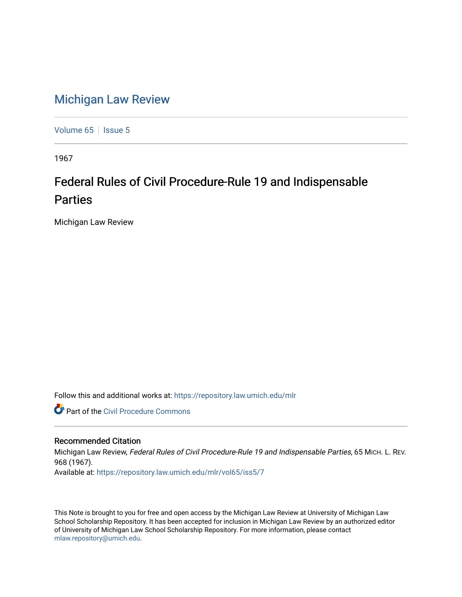## [Michigan Law Review](https://repository.law.umich.edu/mlr)

[Volume 65](https://repository.law.umich.edu/mlr/vol65) | [Issue 5](https://repository.law.umich.edu/mlr/vol65/iss5)

1967

## Federal Rules of Civil Procedure-Rule 19 and Indispensable Parties

Michigan Law Review

Follow this and additional works at: [https://repository.law.umich.edu/mlr](https://repository.law.umich.edu/mlr?utm_source=repository.law.umich.edu%2Fmlr%2Fvol65%2Fiss5%2F7&utm_medium=PDF&utm_campaign=PDFCoverPages) 

**Part of the Civil Procedure Commons** 

## Recommended Citation

Michigan Law Review, Federal Rules of Civil Procedure-Rule 19 and Indispensable Parties, 65 MICH. L. REV. 968 (1967). Available at: [https://repository.law.umich.edu/mlr/vol65/iss5/7](https://repository.law.umich.edu/mlr/vol65/iss5/7?utm_source=repository.law.umich.edu%2Fmlr%2Fvol65%2Fiss5%2F7&utm_medium=PDF&utm_campaign=PDFCoverPages)

This Note is brought to you for free and open access by the Michigan Law Review at University of Michigan Law School Scholarship Repository. It has been accepted for inclusion in Michigan Law Review by an authorized editor of University of Michigan Law School Scholarship Repository. For more information, please contact [mlaw.repository@umich.edu.](mailto:mlaw.repository@umich.edu)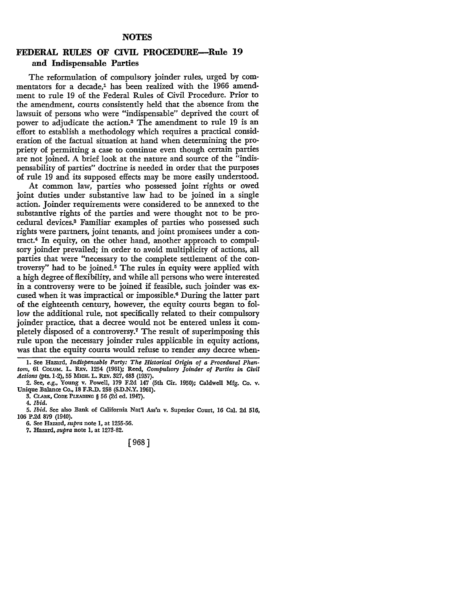## **FEDERAL RULES OF CIVIL PROCEDURE-Rule 19 and Indispensable Parties**

The reformulation of compulsory joinder rules, urged by commentators for a decade,<sup>1</sup> has been realized with the 1966 amendment to rule 19 of the Federal Rules of Civil Procedure. Prior to the amendment, courts consistently held that the absence from the lawsuit of persons who were "indispensable" deprived the court of power to adjudicate the action.2 The amendment to rule 19 is an effort to establish a methodology which requires a practical consideration of the factual situation at hand when determining the propriety of permitting a case to continue even though certain parties are not joined. A brief look at the nature and source of the "indispensability of parties" doctrine is needed in order that the purposes of rule 19 and its supposed effects may be more easily understood.

At common law, parties who possessed joint rights or owed joint duties under substantive law had to be joined in a single action. Joinder requirements were considered to be annexed to the substantive rights of the parties and were thought not to be procedural devices.3 Familiar examples of parties who possessed such rights were partners, joint tenants, and joint promisees under a contract.4 In equity, on the other hand, another approach to compul~ sory joinder prevailed; in order to avoid multiplicity of actions, all parties that were "necessary to the complete settlement of the controversy" had to be joined.5 The rules in equity were applied with a high degree of flexibility, and while all persons who were interested in a controversy were to be joined if feasible, such joinder was excused when it was impractical or impossible.6 During the latter part of the eighteenth century, however, the equity courts began to follow the additional rule, not specifically related to their compulsory joinder practice, that a decree would not be entered unless it completely disposed of a controversy.<sup>7</sup> The result of superimposing this rule upon the necessary joinder rules applicable in equity actions, was that the equity courts would refuse to render *any* decree when-

6. See Hazard, *supra* note 1, at 1255-56.

[968]

<sup>!.</sup> See Hazard, *Indispensable Party: The Historical Origin of a Procedural Phantom,* 61 CoLuM. L. REv. 1254 (1961); Reed, *Compulsory ]oinder of Parties in Civil Actions* (pts.1-2), 55 MICH. L. REv. 327,483 (1957).

<sup>2.</sup> See, *e.g.,* Young v. Powell, 179 F.2d 147 (5th Cir. 1950); Caldwell Mfg. Co. v. Unique Balance Co., 18 F.R.D. 258 (S.D.N.Y. 1961).

<sup>3.</sup> CLARK, CODE PLEADING § 56 (2d ed. 1947).

<sup>4.</sup> *Ibid.* 

<sup>5.</sup> *Ibid.* See also Bank of California Nat'l Ass'n v. Superior Court, 16 Cal. 2d 516, 106 P.2d 879 (1940).

<sup>7.</sup> Hazard, *supra* note 1, at 1273-82.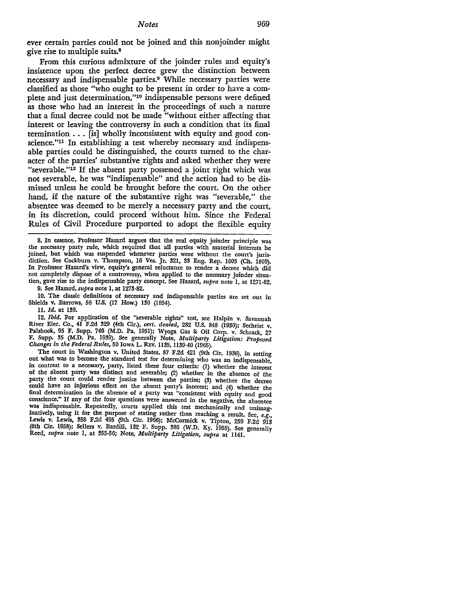ever certain parties could not be joined and this nonjoinder might give rise to multiple suits.<sup>8</sup>

From this curious admixture of the joinder rules and equity's insistence upon the perfect decree grew the distinction between necessary and indispensable parties.9 While necessary parties were classified as those "who ought to be present in order to have a complete and just determination,"10 indispensable persons were defined as those who had an interest in the proceedings of such a nature that a final decree could not be made "without either affecting that interest or leaving the controversy in such a condition that its final termination  $\ldots$  [is] wholly inconsistent with equity and good conscience."11 In establishing a test whereby necessary and indispensable parties could be distinguished, the courts turned to the character of the parties' substantive rights and asked whether they were "severable."12 If the absent party possessed a joint right which was not severable, he was "indispensable" and the action had to be dismissed unless he could be brought before the court. On the other hand, if the nature of the substantive right was "severable," the absentee was deemed to be merely a necessary party and the court, in its discretion, could proceed without him. Since the Federal Rules of Civil Procedure purported to adopt the flexible equity

8. In essence, Professor Hazard argues that the real equity joinder principle was the necessary party rule, which required that all parties with material interests be joined, but which was suspended whenever parties were without the court's jurisdiction. See Cockburn v. Thompson, 16 Ves. Jr. 321, 33 Eng. Rep. 1005 (Ch. 1809). In Professor Hazard's view, equity's general reluctance to render a decree which did not completely dispose of a controversy, when applied to the necessary joinder situation, gave rise to the indispensable party concept. See Hazard, *supra* note 1, at 1271-82.

9. See Hazard, *supra* note 1, at 1273-82.

10. The classic definitions of necessary and indispensable parties are set out in Shields v. Barrows, 58 U.S. (17 How.) 130 (1854).

11. *Id.* at 139.

12. *Ibid.* For application of the "severable rights" test, see Halpin v. Savannah River Elec. Co., 41 F.2d 329 (4th Cir.), *cert. denied,* 282 U.S. 848 (1930); Sechrist v. Palshook, 95 F. Supp. 746 (M,D. Pa. 1951); Wyoga Gas & Oil Corp. v. Schrack, 27 F. Supp. 35 (M.D. Pa. 1939). See generally Note, *Multiparty Litigation: Proposed Changes in the Federal Rules,* 50 IowA L. REv. 1135, 1139-40 (1965).

The court in Washington v. United States, 87 F.2d 421 (9th Cir. 1936), in setting out what was to become the standard test for determining who was an indispensable, in contrast to a necessary, party, listed these four criteria: (1) whether the interest of the absent party was distinct and severable; (2) whether in the absence of the party the court could render justice between the parties; (3) whether the decree could have an injurious effect on the absent party's interest; and (4) whether the final determination in the absence of a party was "consistent with equity and good conscience." If any of the four questions were answered in the negative, the absentee was indispensable. Repeatedly, courts applied this test mechanically and unimaginatively, using it for the purpose of stating rather than reaching a result. See, e.g., Lewis v. Lewis, 358 F.2d 495 (9th Cir. 1966); McCormick v. Tipton, 259 F.2d 913 (6th Cir. 1958); Sellers v. Bardill, 132 F. Supp. 386 (W.D. Ky. 1955). See generally Reed, *supra* note 1, at 355-56; Note, *Multiparty Litigation*, *supra* at 1141.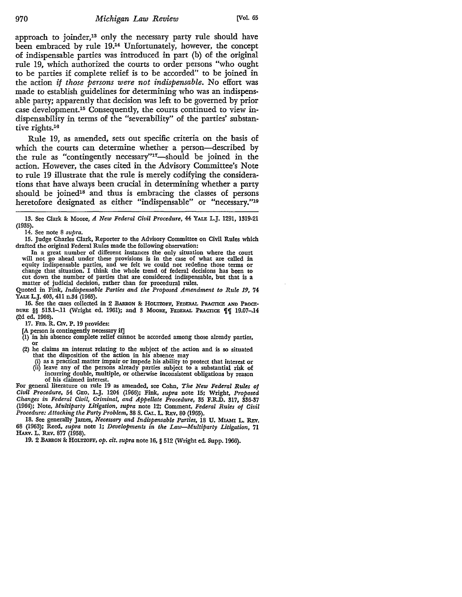approach to joinder,13 only the necessary party rule should have been embraced by rule 19.14 Unfortunately, however, the concept of indispensable parties was introduced in part (b) of the original rule 19, which authorized the courts to order persons "who ought to be parties if complete relief is to be accorded" to be joined in the action *if those persons were not indispensable.* No effort was made to establish guidelines for determining who was an indispensable party; apparently that decision was left to be governed by prior case development.15 Consequently, the courts continued to view indispensability in terms of the "severability" of the parties' substantive rights.16

Rule 19, as amended, sets out specific criteria on the basis of which the courts can determine whether a person—described by the rule as "contingently necessary"<sup>17</sup>-should be joined in the action. However, the cases cited in the Advisory Committee's Note to rule 19 illustrate that the rule is merely codifying the considerations that have always been crucial in determining whether a party should be joined<sup>18</sup> and thus is embracing the classes of persons heretofore designated as either "indispensable" or "necessary."19

14. See note 8 *supra.* 

Quoted in Fink, *Indispensable Parties and the Proposed Amendment to Rule 19,* 74 YALE L.J. 403, 411 n.34 (1965).

16. See the cases collected in 2 BARRON & HOLTZOFF, FEDERAL PRACTICE AND PROCE-DURE §§ 513.1-.11 (Wright ed. 1961); and 3 Moore, FEDERAL PRACTICE  $\P\P$  19.07-.14 (2d ed. 1966).

17. FED. R. CIV. P. 19 provides:

- [A person is contingently necessary if]
- (1) in his absence complete relief cannot be accorded among those already parties, or (2) he claims an interest relating to the subject of the action and is so situated
- that the disposition of the action in his absence may
	- (i) as a practical matter impair or impede his ability to protect that interest or (ii) leave any of the persons already parties subject to a substantial risk of
	- incurring double, multiple, or otherwise inconsistent obligations by reason of his claimed interest.

For general literature on rule 19 as amended, see Cohn, *The New Federal Rules of Civil Procedure,* 54 GEO. L.J. 1204 (1966); Fink, *supra* note 15; Wright, *Proposed Changes in Federal Civil, Criminal, and Appellate Procedure,* 35 F.R.D. 317, 336-37 (1964); Note, *Multiparty Litigation, supra* note 12; Comment, *Federal Rules of Civil Procedure: Attacking the Party Problem,* 38 S. CAL. L. REv. 80 (1965).

18. See generally James, *Necessary and Indispensable Parties,* 18 U. MIAMI L. REv. 68 (1963); Reed, *supra* note l; *Developments in the Law-Multiparty Litigation,* 71 HARv. L. REv. 877 (1958).

19. 2 BARRON & HOLTZOFF, *op. cit. supra* note 16, § 512 (Wright ed. Supp. 1966).

<sup>13.</sup> See Clark & Moore, *A New Federal Civil Procedure,* 44 YALE L.J. 1291, 1319-21 (1935).

<sup>15.</sup> Judge Charles Clark, Reporter to the Advisory Committee on Civil Rules which drafted the original Federal Rules made the following observation:

In a great number of different instances the only situation where the court will not go ahead under these provisions is in the case of what are called in equity indispensable parties, and we felt we could not redefine those terms or change that situation. I think the whole trend of federal decisions has been to change that situation. I think the whole trend of federal decisions has been to cut down the number of parties that are considered indispensable, but that is a matter of judicial decision, rather than for procedural rules.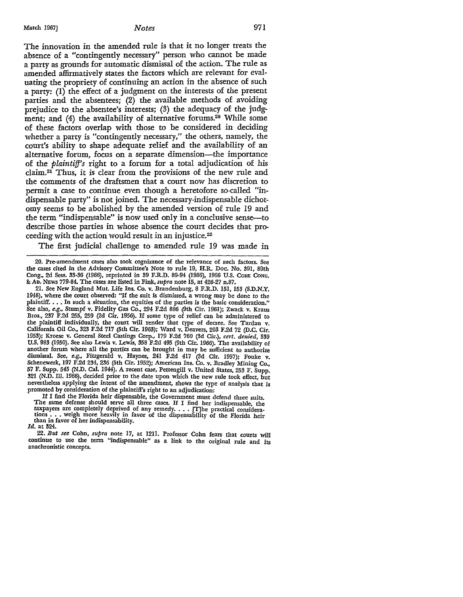The innovation in the amended rule is that it no longer treats the absence of a "contingently necessary" person who cannot be made a party as grounds for automatic dismissal of the action. The rule as amended affirmatively states the factors which are relevant for evaluating the propriety of continuing an action in the absence of such a party: (I) the effect of a judgment on the interests of the present parties and the absentees; (2) the available methods of avoiding prejudice to the absentee's interests; (3) the adequacy of the judgment; and (4) the availability of alternative forums.<sup>20</sup> While some of these factors overlap with those to be considered in deciding whether a party is "contingently necessary," the others, namely, the court's ability to shape adequate relief and the availability of an alternative forum, focus on a separate dimension-the importance of the *plaintiff's* right to a forum for a total adjudication of his claim.21 Thus, it is clear from the provisions of the new rule and the comments of the draftsmen that a court now has discretion to permit a case to continue even though a heretofore so-called "indispensable party" is not joined. The necessary-indispensable dichotomy seems to be abolished by the amended version of rule 19 and the term "indispensable" is now used only in a conclusive sense-to describe those parties in whose absence the court decides that proceeding with the action would result in an injustice.22

The first judicial challenge to amended rule 19 was made in

If I find the Florida heir dispensable, the Government must defend three suits. The same defense should serve all three cases. If I find her indispensable, the taxpayers are completely deprived of any remedy  $\dots$  [T]he practical considerations  $\ldots$  weigh more heavily in favor of the dispensability of the Florida heir than in favor of her indispensability. *Id.* at 324.

22. *But see* Cohn, *supra* note 17, at 1211. Professor Cohn fears that courts will

continue to use the term "indispensable" as a link to the original rule and its anachronistic concepts.

<sup>20.</sup> Pre-amendment cases also took cognizance of the relevance of such factors. See the cases cited in the Advisory Committee's Note to rule 19, H.R. Doc. No. 391, 89th Cong., 2d Sess. 33-36 (1966), reprinted in 39 F.R.D. 89-94 (1966), 1966 U.S. ConE CONG, &: An. NEWS 779-84. The cases are listed in Fink, *supra* note 15, at 426-27 n.87.

<sup>21.</sup> See New England Mut. Life Ins. Co. v. Brandenburg, 8 F.R.D. 151, 153 (S.D.N.Y. 1948), where the court observed: "If the suit is dismissed, a wrong may be done to the plaintiff. . . . In such a situation, the equities of the parties is the basic consideration." See also, *e.g.*, Stumpf v. Fidelity Gas Co., 294 F.2d 886 (9th Cir. 1961); Zwack v. Kraus Bros., 237 F.2d 255, 259 (2d Cir. 1956). If some type of relief can be administered to the plaintiff individually, the court will render that type of decree. See Tardan v. California Oil Co., 323 F.2d 717 (5th Cir. 1963); Ward v. Deavers, 203 F.2d 72 (D.C. Cir. 1953); Kroese v. General Steel Castings Corp., 179 F.2d 760 (3d Cir.), *cert. denied,* 339 U.S. 983 (1950). See also Lewis v. Lewis, 358 F.2d 495 (9th Cir. 1966). The availability of another forum where all the parties can be brought in may be sufficient to authorize dismissal. See, e.g., Fitzgerald v. Haynes, 241 F.2d 417 (3d Cir. 1957); Fouke v. Schenewerk, 197 F.2d 234, 236 (5th Cir. 1952); American Ins. Co. v. Bradley Mining Co., 57 F. Supp. 545 (N.D. Cal. 1944). A recent case, Pettengill v. United States, 253 F. Supp. 321 (N.D. Ill. 1966), decided prior to the date upon which the new rule took effect, but nevertheless applying the intent of the amendment, shows the type of analysis that is promoted by consideration of the plaintiff's right to an adjudication: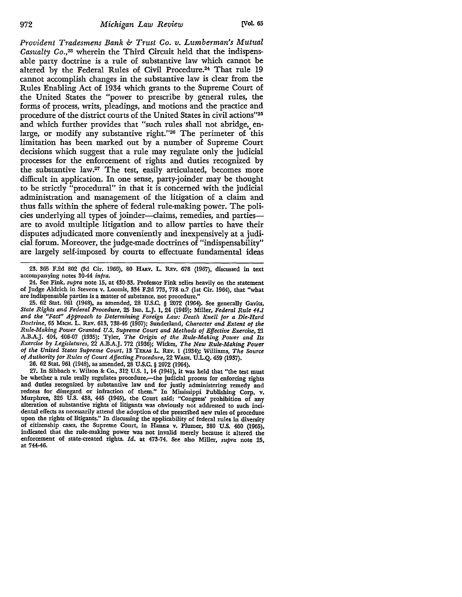*Provident Tradesmens Bank & Trust Co. v. Lumberman's Mutual Casualty* Co.,23 wherein the Third Circuit held that the indispensable party doctrine is a rule of substantive law which cannot be altered by the Federal Rules of Civil Procedure.<sup>24</sup> That rule 19 cannot accomplish changes in the substantive law is clear from the Rules Enabling Act of 1934 which grants to the Supreme Court of the United States the "power to prescribe by general rules, the forms of process, writs, pleadings, and motions and the practice and procedure of the district courts of the United States in civil actions"25 and which further provides that "such rules shall not abridge, enlarge, or modify any substantive right."26 The perimeter of this limitation has been marked out by a number of Supreme Court decisions which suggest that a rule may regulate only the judicial processes for the enforcement of rights and duties recognized by the substantive law.27 The test, easily articulated, becomes more difficult in application. In one sense, party-joinder may be thought to be strictly "procedural" in that it is concerned with the judicial administration and management of the litigation of a claim and thus falls within the sphere of federal rule-making power. The policies underlying all types of joinder-claims, remedies, and partiesare to avoid multiple litigation and to allow parties to have their disputes adjudicated more conveniently and inexpensively at a judicial forum. Moreover, the judge-made doctrines of "indispensability" are largely self-imposed by courts to effectuate fundamental ideas

23. 365 F.2d 802 (3d Cir. 1966), 80 **HARv. L.** REv. 678 (1967), discussed in text accompanying notes 30-44 *infra.* 

24. See Fink, *supra* note 15, at 430-33. Professor Fink relies heavily on the statement of Judge Aldrich in Stevens v. Loomis, 334 F.2d 775, 778 n.7 (1st Cir. 1964), that "what are indispensable parties is a matter of substance, not procedure."

25. 62 Stat. 961 (1948), as amended, 28 U.S.C. § 2072 (1964). See generally Gavits, *State Rights and Federal Procedure,* 25 IND. L.J. 1, 24 (1949); Miller, *Federal Rule 44.1 and the "Fact" Approach to Determining Foreign Law: Death Knell for a Die-Hard Doctrine,* 65 MICH, L. REV. 613, 738-46 (1967); Sunderland, *Character and Extent of the Rule-Making Power Granted U.S. Supreme Court and Methods of Effective Exercise,* 21 A.B.A.J. 404, 406-07 (1935); Tyler, *The Origin of the Rule-Making Power and Its Exercise by Legislatures,* 22 A.B.A.J. 772 (1936); Wickes, *The New Rule-Making Power of the United States Supreme Court,* 13 TEXAS L. REv. 1 (1934); Williams, *The Source of Authority for Rules of Court Affecting Procedure,* 22 WASH. U.L.Q. 459 (1937).

26. 62 Stat. 961 (1948), as amended, 28 U.S.C. § 2072 (1964).

27. In Sibbach v. Wilson 8e Co., 312 U.S. I, 14 (1941), it was held that "the test must be whether a rule really regulates procedure,—the judicial process for enforcing rights and duties recognized by substantive law and for justly administering remedy and redress for disregard or infraction of them." In Mississippi Publishing Corp. v. Murphree, 326 U.S. 438, 445 (1945), the Court said: "Congress' prohibition of any alteration of substantive rights of litigants was obviously not addressed to such incidental effects as necessarily attend the adoption of the prescribed new rules of procedure upon the rights of litigants." In discussing the applicability of federal rules in diversity of citizenship cases, the Supreme Court, in Hanna v. Plumer, 380 U.S. 460 (1965), indicated that the rule-making power was not invalid merely because it altered the enforcement of state-created rights. *Id.* at 473-74. See also Miller, *supra* note 25, at 744-46.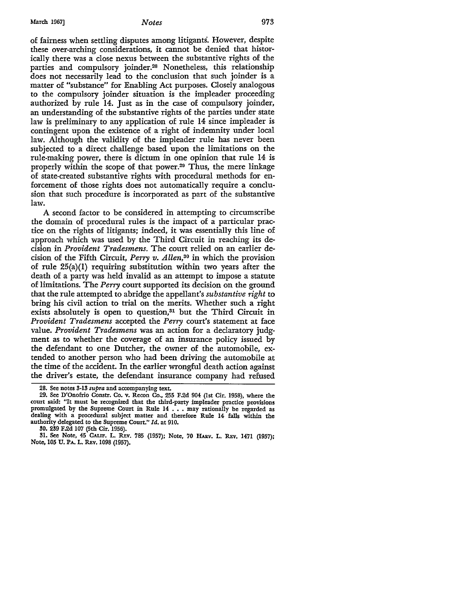March 1967] *Notes* 973

of fairness when settling disputes among litigants'. However, despite these over-arching considerations, it cannot be denied that historically there was a close nexus between the substantive rights of the parties and compulsory joinder.28 Nonetheless, this relationship does not necessarily lead to the conclusion that such joinder is a matter of "substance" for Enabling Act purposes. Closely analogous to the compulsory joinder situation is the impleader proceeding authorized by rule 14. Just as in the case of compulsory joinder, an understanding of the substantive rights of the parties under state law is preliminary to any application of rule 14 since impleader is contingent upon the existence of a right of indemnity under local law. Although the validity of the impleader rule has never been subjected to a direct challenge based upon the limitations on the rule-making power, there is dictum in one opinion that rule 14 is properly within the scope of that power.29 Thus, the mere linkage of state-created substantive rights with procedural methods for enforcement of those rights does not automatically require a conclusion that such procedure is incorporated as part of the substantive law.

A second factor to be considered in attempting to circumscribe the domain of procedural rules is the impact of a particular practice on the rights of litigants; indeed, it was essentially this line of approach which was used by the Third Circuit in reaching its decision in *Provident Tradesmens.* The court relied on an earlier decision of the Fifth Circuit, *Perry v. Allen,30* in which the provision of rule 25(a)(l) requiring substitution within two years after the death of a party was held invalid as an attempt to impose a statute of limitations. The *Perry* court supported its decision on the ground that the rule attempted to abridge the appellant's *substantive right* to bring his civil action to trial on the merits. Whether such a right exists absolutely is open to question,<sup>31</sup> but the Third Circuit in *Provident Tradesmens* accepted the *Perry* court's statement at face value. *Provident Tradesmens* was an action for a declaratory judgment as to whether the coverage of an insurance policy issued by the defendant to one Dutcher, the owner of the automobile, extended to another person who had been driving the automobile at the time of the accident. In the earlier wrongful death action against the driver's estate, the defendant insurance company had refused

<sup>28.</sup> See notes 3-13 *supra* and accompanying text.

<sup>29.</sup> See D'Onofrio Constr. Co. v. Recon Co., 255 F.2d 904 (1st Cir. 1958), where the court said: "It must be recognized that the third-party impleader practice provisions promulgated by the Supreme Court in Rule 14 . . . may rationally be regarded as dealing with a procedural subject matter and therefore Rule 14 falls within the authority delegated to the Supreme Court." *Id.* at 910.

l!O. 239 F.2d 107 (5th Cir. 1956).

<sup>31.</sup> See Note, 45 CALIF. L. REV. 785 (1957); Note, 70 HARV. L. REV. 1471 (1957); Note, 105 u. PA. L. REv. 1098 (1957).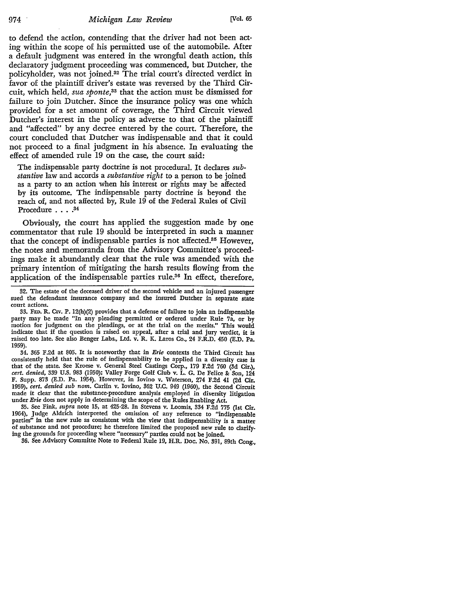to defend the action, contending that the driver had not been acting within the scope of his permitted use of the automobile. After a default judgment was entered in the wrongful death action, this declaratory judgment proceeding was commenced, but Dutcher, the policyholder, was not joined.32 The trial court's directed verdict in favor of the plaintiff driver's estate was reversed by the Third Circuit, which held, *sua sponte,33* that the action must be dismissed for failure to join Dutcher. Since the insurance policy was one which provided for a set amount of coverage, the Third Circuit viewed Dutcher's interest in the policy as adverse to that of the plaintiff and "affected" by any decree entered by the court. Therefore, the court concluded that Dutcher was indispensable and that it could not proceed to a final judgment in his absence. In evaluating the effect of amended rule 19 on the case, the court said:

The indispensable party doctrine is not procedural. It declares *substantive* law and accords a *substantive right* to a person to be joined as a party to an action when his interest or rights may be affected by its outcome. The indispensable party doctrine is beyond the reach of, and not affected by, Rule 19 of the Federal Rules of Civil Procedure . . . .<sup>34</sup>

Obviously, the court has applied the suggestion made by one commentator that rule 19 should be interpreted in such a manner that the concept of indispensable parties is not affected.35 However, the notes and memoranda from the Advisory Committee's proceedings make it abundantly clear that the rule was amended with the primary intention of mitigating the harsh results flowing from the application of the indispensable parties rule.36 In effect, therefore,

35. See Fink, *supra* note 15, at 425-28. In Stevens v. Loomis, 334 F.2d 775 (1st Cir. 1964), Judge Aldrich interpreted the omission of any reference to "indispensable parties" in the new rule as consistent with the view that indispensability is a matter of substance and not procedure; he therefore limited the proposed new rule to clarifying the grounds for proceeding where "necessary" parties could not be joined.

36. See Advisory Committe Note to Federal Rule 19, H.R. Doc. No. 391, 89th Cong.,

<sup>32.</sup> The estate of the deceased driver of the second vehicle and an injured passenger sued the defendant insurance company and the insured Dutcher in separate state court actions.

<sup>33.</sup> FED. R. Crv. P. 12(h)(2) provides that a defense of failure to join an indispensable party may be made "In any pleading permitted or ordered under Rule 7a, or by motion for judgment on the pleadings, or at the trial on the merits." This would indicate that if the question is raised on appeal, after a trial and jury verdict, it is raised too late. See also Benger Labs., Ltd. v. R. K. Laros Co., 24 F.R.D. 450 (E.D. Pa. 1959).

<sup>34. 365</sup> F.2d at 805. It is noteworthy that in *Erie* contexts the Third Circuit has consistently held that the rule of indispensability to be applied in a diversity case is that of the state. See Kroese v. General Steel Castings Corp., 179 F.2d 760 (3d Cir.), *cert. denied, 339 U.S. 983 (1950); Valley Forge Golf Club v. L. G. De Felice & Son, 124* F. Supp. 873 (E.D. Pa. 1954). However, in Iovino v. Waterson, 274 F.2d 41 (2d Cir. 1959), *cert. denied sub nom.* Carlin v. Iovino, 362 U.C. 949 (1960), the Second Circuit made it clear that the substance-procedure analysis employed in diversity litigation under *Erie* does not apply in determining the scope of the Rules Enabling *Act.*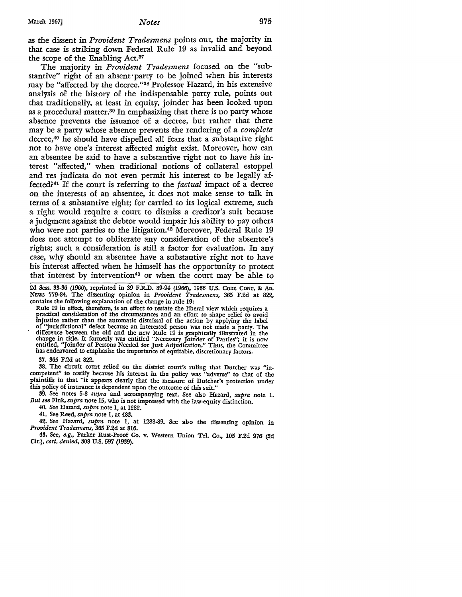as the dissent in *Provident Tradesmens* points out, the majority in that case is striking down Federal Rule 19 as invalid and beyond the scope of the Enabling Act.37

The majority in *Provident Tradesmens* focused on the "substantive" right of an absent·party to be joined when his interests may be "affected by the decree."38 Professor Hazard, in his extensive analysis of the history of the indispensable party rule, points out that traditionally, at least in equity, joinder has been looked upon as a procedural matter.39 In emphasizing that there is no party whose absence prevents the issuance of a decree, but rather that there may be a party whose absence prevents the rendering of a *complete*  decree,40 he should have dispelled all fears that a substantive right not to have one's interest affected might exist. Moreover, how can an absentee be said *to* have a substantive right not to have his interest "affected," when traditional notions of collateral estoppel and res judicata do not even permit his interest to be legally affected?41 If the court is referring *to* the *factual* impact of a decree on the interests of an absentee, it does not make sense to talk in terms of a substantive right; for carried to its logical extreme, such a right would require a court to dismiss a creditor's suit because a judgment against the debtor would impair his ability to pay others who were not parties to the litigation.<sup>42</sup> Moreover, Federal Rule 19 does not attempt to obliterate any consideration of the absentee's rights; such a consideration is still a factor for evaluation. In any case, why should an absentee have a substantive right not to have his interest affected when he himself has the opportunity to protect that interest by intervention<sup>43</sup> or when the court may be able to

2d Sess. 33-36 (1966), reprinted in 39 F.R.D. 89-94 (1966), 1966 U.S. CoDE CONG. & Ao. NEWS 779-84. The dissenting opinion in *Provident Tradesmens,* 365 F.2d at 822, contains the following explanation of the change in rule 19:

Rule 19 in effect, therefore, is an effort to restate the liberal view which requires a practical consideration of the circumstances and an effort to shape relief to avoid injustice rather than the automatic dismissal of the action by applying the label of "jurisdictional" defect because an interested person was not made a party. The difference between the old and the new Rule 19 is graphically illustrated in the<br>change in title. It formerly was entitled "Necessary Joinder of Parties"; it is now<br>entitled, "Joinder of Persons Needed for Just Adjudicatio has endeavored to emphasize the importance of equitable, discretionary factors.

37. 365 F.2d at 822.

38. The circuit court relied on the district court's ruling that Dutcher was "incompetent" to testify because his interest in the policy was "adverse" to that of the plaintiffs in that "it appears clearly that the measure of Dutcher's protection under this policy of insurance is dependent upon the outcome of this suit."

39. Se~ notes 5-8 *supra* and accompanying text. See also Hazard, *supra* note I. *But see* Fmk, *supra* note 15, who is not impressed with the law-equity distinction.

40. See Hazard, *supra* note I, at 1282.

41. See Reed, *supra* note 1, at 483.

42. See Hazard, *supra* note 1, at 1288-89. See also the dissenting opinion in *Provident Tradesmens,* 365 F.2d at 816.

43. See, *e.g.,* Parker Rust-Proof Co. v. Western Union Tel. Co., 105 F.2d 976 (2d Cir.), *cert. denied,* 308 U.S. 597 (1939).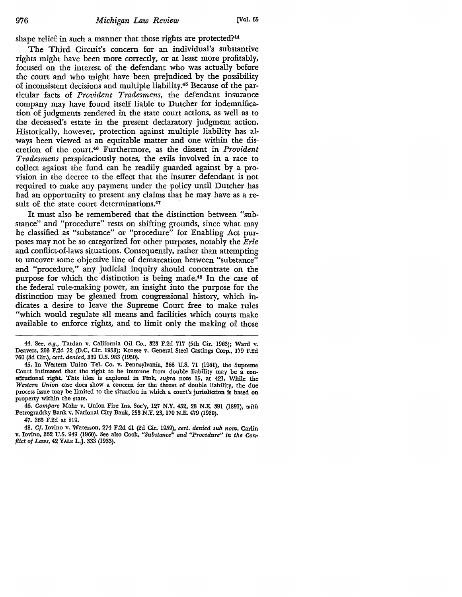shape relief in such a manner that those rights are protected?<sup>44</sup>

The Third Circuit's concern for an individual's substantive rights might have been more correctly, or at least more profitably, focused on the interest of the defendant who was actually before the court and who might have been prejudiced by the possibility of inconsistent decisions and multiple liability.45 Because of the particular facts of *Provident Tradesmens,* the defendant insurance company may have found itself liable to Dutcher for indemnification of judgments rendered in the state court actions, as well as to the deceased's estate in the present declaratory judgment action. Historically, however, protection against multiple liability has always been viewed as an equitable matter and one within the discretion of the court.46 Furthermore, as the dissent in *Provident Tradesmens* perspicaciously notes, the evils involved in a race to collect against the fund can be readily guarded against by a provision in the decree to the effect that the insurer defendant is not required to make any payment under the policy until Dutcher has had an opportunity to present any claims that he may have as a result of the state court determinations.<sup>47</sup>

It must also be remembered that the distinction between "substance" and "procedure" rests on shifting grounds, since what may be classified as "substance" or "procedure" for Enabling Act purposes may not be so categorized for other purposes, notably the *Erie*  and conflict-of-laws situations. Consequently, rather than attempting to uncover some objective line of demarcation between "substance" and "procedure," any judicial inquiry should concentrate on the purpose for which the distinction is being made.48 In the case of the federal rule-making power, an insight into the purpose for the distinction may be gleaned from congressional history, which indicates a desire to leave the Supreme Court free to make rules "which would regulate all means and facilities which courts make available to enforce rights, and to limit only the making of those

46. *Compare* Mahr v. Union Fire Ins. Soc'y, 127 N.Y. 452, 28 N.E. 391 (1891), *with*  Petrogradsky Bank v. National City Bank, 253 N.Y. 23, 170 N.E. 479 (1930).

47. 365 F.2d at 819.

48. *Cf.* Iovino v. Waterson, 274 F.2d 41 (2d Cir. 1959), *cert. denied sub nom.* Carlin v. Iovino, 362 U.S. 949 (1960). See also Cook, *"Substance" and "Procedure" in the Con• fiict of Laws,* 42 YALE L.J. 333 (1933).

<sup>44.</sup> See, *e.g.,* Tardan v. California Oil Co., 323 F.2d 717 (5th Cir. 1963); Ward v. Deavers, 203 F.2d 72 (D.C. Cir. 1953); Kroese v. General Steel Castings Corp., 179 F.2d 760 (3d Cir.), *cert. denied,* 339 U.S. 983 (1950).

<sup>45.</sup> In Western Union Tel. Co. v. Pennsylvania, 368 U.S. 71 (1961), the Supreme Court intimated that the right to be immune from double liability may be a constitutional right. This idea is explored in Fink, *supra* note 15, at 421. While the *Western Union* case does show a concern for the threat of double liability, the due process issue may be limited to the situation in which a court's jurisdiction is based on property within the state.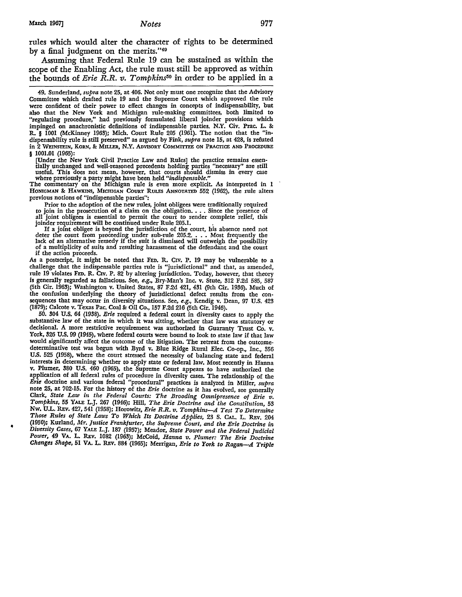rules which would alter the character of rights to be determined by a final judgment on the merits."<sup>49</sup>

Assuming that Federal Rule 19 can be sustained as within the scope of the Enabling *Act,* the rule must still be approved as within the bounds of *Erie R.R. v. Tompkins50* in order to be applied in a

49. Sunderland, *supra* note 25, at 406. Not only must one recognize that the Advisory Committee which drafted rule 19 and the Supreme Court which approved the rule were confident of their power to effect changes in concepts of indispensability, but also that the New York and Michigan rule-making committees, both limited to "regulating procedure," had previously formulated liberal joinder provisions which impinged on anachronistic definitions of indispensable parties. N.Y. Civ. Prac. L. &: R. § 1001 (McKinney 1963); Mich. Court Rule 205 (1961). The notion that the "indispensability rule is still preserved" as argued by Fink, *supra* note 15, at 428, is refuted in 2 WEINSTEIN, KORN, & MILLER, N.Y. ADVISORY COMMITTEE ON PRACTICE AND PROCEDURE

§ 1001.01 (1965):

[Under the New York Civil Practice Law and Rules] the practice remains essen- tially unchanged and well-reasoned precedents holding parties "necessary" are still useful. This does not mean, however, that courts should dismiss in every case where previously a party might have been held *"indispensable."* 

The commentary on the Michigan rule is even more explicit. As interpreted in 1 HONIGMAN &: HAWKINS, MICHIGAN CoURT RULES ANNOTATED 552 (1962), the rule alters previous notions of "indispensable parties":

Prior to the adoption of the new rules, joint obligees were traditionally required join in the prosecution of a claim on the obligation.  $\ldots$  Since the presence of all joint obligees is essential to permit the court *to* render complete relief, this

If a joint obligee is beyond the jurisdiction of the court, his absence need not deter the court from proceeding under sub-rule 205.2. • . • Most frequently the lack of an alternative remedy if the suit is dismissed will outweigh the possibility of a multiplicity of suits and resulting harassment of the defendant and the court if the action proceeds.

As a postscript, it might be noted that FED. R. CIV. P. 19 may be vulnerable to a challenge that the indispensable parties rule is "jurisdictional" and that, as amended, rule 19 violates FED. R. CIV. P. 82 by altering jurisdiction. Today, however, that theory is generally regarded as fallacious. See, *e.g.,* Bry-Man's Inc. v. Stute, 312 F.2d 585, 587 (5th Cir. 1963); Washington v. United States, 87 F.2d 421, 431 (9th Cir. 1936). Much of the confusion underlying the theory of jurisdictional defect results from the consequences that may occur in diversity situations. See, *e.g.,* Kendig v. Dean, 97 U.S. 423 (1879); Calcote v. Texas Pac. Coal&: Oil Co., 157 F.2d 216 (5th Cir. 1946).

50. 304 U.S. 64 (1938). *Erie* required a federal court in diversity cases to apply the substantive law of the state in which it was sitting, whether that law was statutory or decisional. A more restrictive requirement was authorized in Guaranty Trust Co. v. York, 326 U.S. 99 (1945), where federal courts were bound to look *to* state law if that law would significantly affect the outcome of the litigation. The retreat from the outcomedeterminative test was begun with Byrd v. Blue Ridge Rural Elec. Co-op., Inc., 356 U.S. 525 (1958), where the court stressed the necessity of balancing state and federal interests in determining whether *to* apply state or federal law. Most recently in Hanna v. Plumer, 380 U.S. 460 (1965), the Supreme Court appears to have authorized the application of all federal rules of procedure in diversity cases. The relationship of the *Erie* doctrine and various federal "procedural" practices is analyzed in Miller, *supra*  note 25, at 702-15. For the history of the *Erie* doctrine as it has evolved, see generally Clark, State Law in the Federal Courts: The Brooding Omnipresence of Erie v. *Tompkins,* 55 YALE L.J. 267 (1946); Hill, *The Erie Doctrine and the Constitution,* 53 Nw. U.L. REv. 427, 541 (1958); Horowitz, *Erie R.R. v. Tompkins-A Test To Determine Those Rules of State Laws To Which Its Doctrine Applies,* 23 S. CAL. L. REv. 204 (1950); Kurland, *Mr. Justice Frankfurter, the Supreme Court, and the Erie Doctrine in Diversity Cases,* 67 YALE L.J. 187 (1957); Meador, *State Power and the Federal Judicial Power,* 49 VA. L. REv. 1082 (1963); McCoid, *Hanna v. Plumer: The Erie Doctrine Changes Shape,* 51 VA. L. REv. 884 (1965); Merrigan, *Erie to York to Ragan-A. Triple*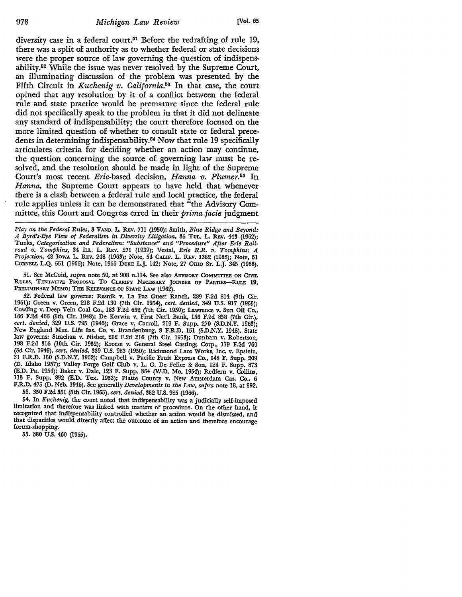diversity case in a federal court.<sup>51</sup> Before the redrafting of rule 19, there was a split of authority as to whether federal or state decisions were the proper source of law governing the question of indispensability. 52 While the issue was never resolved by the Supreme Court, an illuminating discussion of the problem was presented by the Fifth Circuit in *Kuchenig v. California.53* In that *case,* the court opined that any resolution by it of a conflict between the federal rule and state practice would be premature since the federal rule did not specifically speak to the problem in that it did not delineate any standard of indispensability; the court therefore focused on the more limited question of whether to consult state or federal precedents in determining indispensability.<sup>54</sup> Now that rule 19 specifically articulates criteria for deciding whether an action may continue, the question concerning the source of governing law must be resolved, and the resolution should be made in light of the Supreme Court's most recent *Erie-based* decision, *Hanna v. Plumer.55* In *Hanna,* the Supreme Court appears to have held that whenever there is a clash between a federal rule and local practice, the federal rule applies unless it can be demonstrated that "the Advisory Committee, this Court and Congress erred in their *prima facie* judgment

*Play on the Federal Rules,* 3 VAND. L. REv. 711 (1950); Smith, *Blue Ridge and Beyond: A Byrd's-Eye View of Federalism* in *Diversity Litigation,* 36 TuL. L. REv. 443 (1962); Tunks, *Categorization and Federalism: "Substance" and "Procedure" After Erie Railroad v. Tompkins,* 34 ILL. L. REv. 271 (1939); Vestal, *Erie R.R. v. Tompkins: A Projection,* 48 IOWA L. REv. 248 (1963); Note, 54 CALIF. L. REv. 1382 (1966); Note, 51 CORNELL L.Q. 551 (1966); Note, 1966 DUKE L.J. 142; Note, 27 Omo ST. L.J. 345 (1966).

51. See McCoid, *supra* note 50, at 908 n.114. See also ADVISORY COMMIITEE ON CIVIL RULES, TENTATIVE PROPOSAL TO CLARIFY NECESSARY JOINDER OF PARTIES-RULE 19, PRELIMINARY MEMO: THE RELEVANCE OF STATE LAW (1962).

52. Federal law governs: Resnik v. La Paz Guest Ranch, 289 F.2d 814 (9th Cir. 1961); Green v. Green, 218 F.2d 130 (7th Cir. 1954), *cert. denied,* 349 U.S. 917 (1955); Cowling v. Deep Vein Coal Co., 183 F.2d 652 (7th Cir. 1950); Lawrence v. Sun Oil Co., 166 F.2d 466 (5th Cir. 1948); De Korwin v. First Nat'! Bank, 156 F.2d 858 (7th Cir.), *cert. denied,* 329 U.S. 795 (1946); Grace v. Carroll, 219 F. Supp. 270 (S.D.N.Y. 1963); New England Mut. Life Ins. Co. v. Brandenburg, 8 F.R.D. 151 (S.D.N.Y. 1948). State law governs: Strachan v. Nisbet, 202 F.2d 216 (7th Cir. 1953); Dunham v. Robertson, 198 F.2d 316 (10th Cir. 1952); Kroese v. General Steel Castings Corp., 179 F.2d 760 (3d Cir. 1949), *cert. denied,* 339 U.S. 983 (1950); Richmond Lace Works, Inc. v. Epstein, 31 F.R.D. 150 (S.D.N.Y. 1962); Campbell v. Pacific Fruit Express Co., 148 F. Supp. 209 (D. Idaho 1957); Valley Forge Golf Club v. L. G. De Felice 8c Son, 124 F. Supp. 873 (E.D. Pa. 1954); Baker v. Dale, 123 F. Supp. 364 (W.D. Mo. 1954); Redfern v. Collins, 113 F. Supp. 892 (E.D. Tex. 1953); Platte County v. New Amsterdam Cas. Co., 6 F.R.D. 475 (D. Neb. 1946). See generally *Developments in the Law, supra* note 18, at 992. 53. 350 F.2d 551 (5th Cir. 1965), *cert. denied,* 382 U.S. 985 (1966).

54. In *Kuchenig,* the court noted that indispensability was a judicially self-imposed limitation and therefore was linked with matters of procedure. On the other hand, it recognized that indispensability controlled whether an action would be dismissed, and that disparities would directly affect the outcome of an action and therefore encourage forum-shopping.

55. 380 U.S. 460 (1965).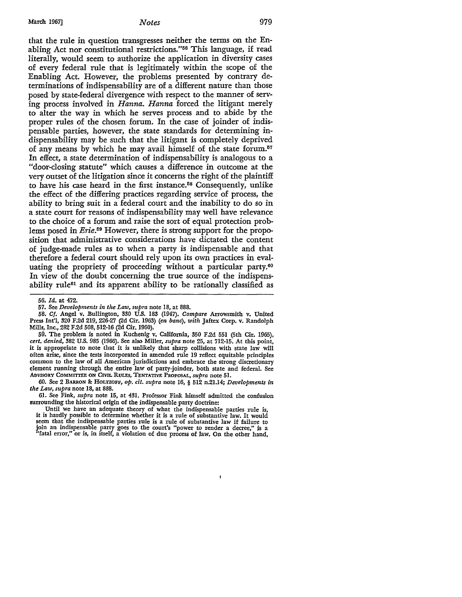that the rule in question transgresses neither the terms on the Enabling Act nor constitutional restrictions."56 This language, if read literally, would seem to authorize the application in diversity cases of every federal rule that is legitimately within the scope of the Enabling Act. However, the problems presented by contrary determinations of indispensability are of a different nature than those posed by state-federal divergence with respect to the manner of serving process involved in *Hanna. Hanna* forced the litigant merely to alter the way in which he serves process and to abide by the proper rules of the chosen forum. In the case of joinder of indispensable parties, however, the state standards for determining indispensability may be such that the litigant is completely deprived of any means by which he may avail himself of the state forum.<sup>57</sup> In effect, a state determination of indispensability is analogous to a "door-closing statute" which causes a difference in outcome at the very outset of the litigation since it concerns the right of the plaintiff to have his case heard in the first instance.58 Consequently, unlike the effect of the differing practices regarding service of process, the ability to bring suit in a federal court and the inability to do so in a state court for reasons of indispensability may well have relevance to the choice of a forum and raise the sort of equal protection problems posed in *Erie.59* However, there is strong support for the proposition that administrative considerations have dictated the content of judge-made rules as to when a party is indispensable and that therefore a federal court should rely upon its own practices in evaluating the propriety of proceeding without a particular party.<sup>60</sup> In view of the doubt concerning the true source of the indispensability rule61 and its apparent ability to be rationally classified as

58. *Cf.* Angel v • .Bullington, 330 U.S. 183 (1947). *Compare* Arrowsmith v. United Press Int'I, 320 F.2d 219, 226-27 (2d Cir. 1963) *(en bane), with* Jaftex Corp. v. Randolph Mills, Inc., 282 F.2d 508, 512-16 (2d Cir. 1960).

59. The problem is noted in Kuchenig v. California, 350 F.2d 551 (5th Cir. 1965), *cert. denied,* 382 U.S. 985 (1966). See also Miller, *supra* note 25, at 712-15. At this point, it is appropriate to note that it is unlikely that sharp collisions with state law will often arise, since the tests incorporated in amended rule 19 reflect equitable principles common to the law of all American jurisdictions and embrace the strong discretionary element running through the entire law of party-joinder, both state and federal. See ADVISORY CoMMITIEE ON CML RULES, TENTATIVE PROPOSAL, *supra* note 51.

60. See 2 BARRON &: HoLTZOFF, *op. cit. supra* note 16, § 512 n.21.14; *Developments in the Law, supra* note 18, at 888.

61. See Fink, *supra* note 15, at 431. Professor Fink himself admitted the confusion surrounding the historical origin of the indispensable party doctrine:

Until we have an adequate theory of what the indispensable parties rule is, it is hardly possible to determine whether it is a rule of substantive law. It would seem that the indispensable parties rule is a rule of substantive law if failure to join an indispensable party goes to the court's "power to render a decree," is a "fatal error," or is, in itself, a violation of due process of law. On the other hand,

 $\mathbf{I}$ 

<sup>56.</sup> *Id.* at 472.

<sup>57.</sup> See *Developments in the Law, supra* note 18, at 888.